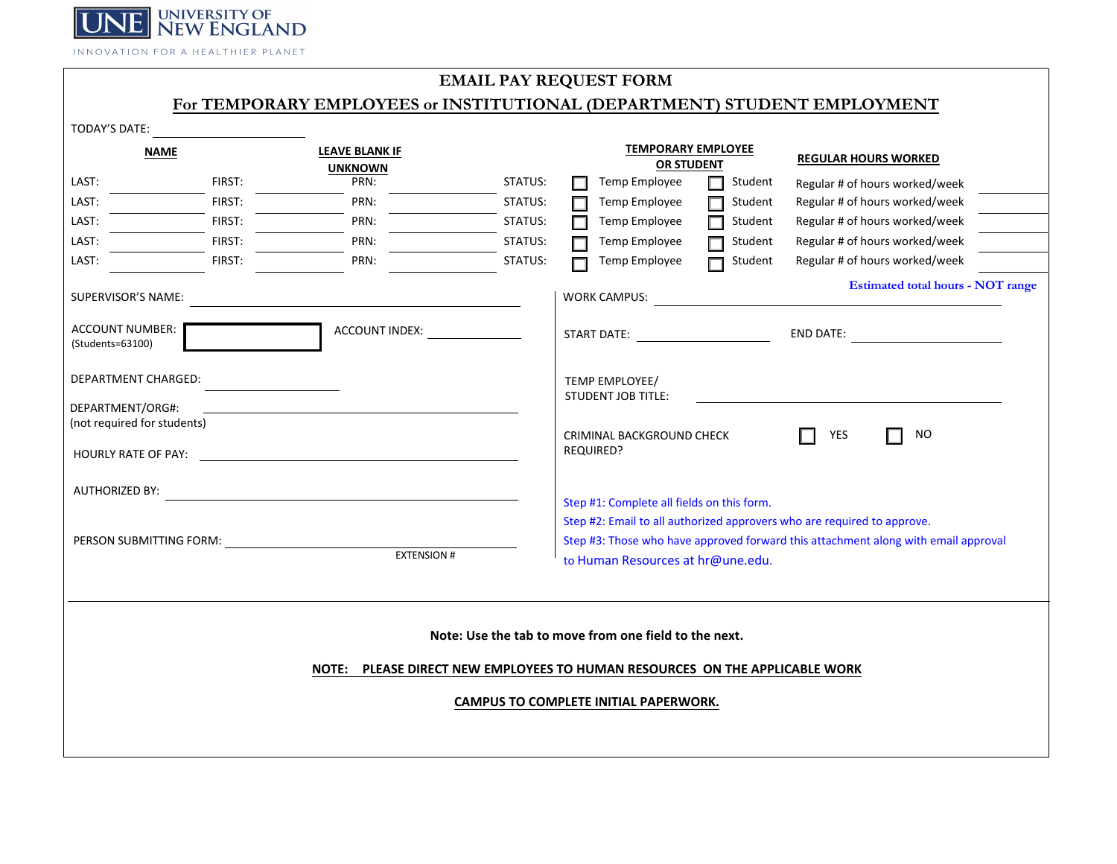

INNOVATION FOR A HEALTHIER PLANET

## **EMAIL PAY REQUEST FORM**

## **For TEMPORARY EMPLOYEES or INSTITUTIONAL (DEPARTMENT) STUDENT EMPLOYMENT**

| TODAY'S DATE:                                                                                                                                                                 |                                                          |         |                                                                                                                |                   |                                                                                                                                                               |  |
|-------------------------------------------------------------------------------------------------------------------------------------------------------------------------------|----------------------------------------------------------|---------|----------------------------------------------------------------------------------------------------------------|-------------------|---------------------------------------------------------------------------------------------------------------------------------------------------------------|--|
| <b>NAME</b>                                                                                                                                                                   | <b>LEAVE BLANK IF</b><br><b>UNKNOWN</b>                  |         | <b>TEMPORARY EMPLOYEE</b><br><b>OR STUDENT</b>                                                                 |                   | <b>REGULAR HOURS WORKED</b>                                                                                                                                   |  |
| FIRST:<br>LAST:                                                                                                                                                               | PRN:                                                     | STATUS: | Temp Employee                                                                                                  | Student<br>П      | Regular # of hours worked/week                                                                                                                                |  |
| FIRST:<br>LAST:                                                                                                                                                               | PRN:                                                     | STATUS: | Temp Employee                                                                                                  | Student           | Regular # of hours worked/week                                                                                                                                |  |
| LAST:<br>FIRST:                                                                                                                                                               | PRN:                                                     | STATUS: | Temp Employee                                                                                                  | Student<br>$\Box$ | Regular # of hours worked/week                                                                                                                                |  |
| LAST:<br>FIRST:                                                                                                                                                               | PRN:                                                     | STATUS: | Temp Employee                                                                                                  | Student           | Regular # of hours worked/week                                                                                                                                |  |
| LAST:<br>FIRST:                                                                                                                                                               | PRN:                                                     | STATUS: | Temp Employee                                                                                                  | Student           | Regular # of hours worked/week                                                                                                                                |  |
| SUPERVISOR'S NAME:                                                                                                                                                            |                                                          |         | <b>WORK CAMPUS:</b>                                                                                            |                   | <b>Estimated total hours - NOT range</b>                                                                                                                      |  |
| <b>ACCOUNT NUMBER:</b><br>(Students=63100)                                                                                                                                    | ACCOUNT INDEX:                                           |         | START DATE: THE START OF THE START OF THE START OF THE START OF THE START OF THE START OF THE START OF THE STA |                   | END DATE: www.alicensis.com                                                                                                                                   |  |
| DEPARTMENT CHARGED:                                                                                                                                                           |                                                          |         | TEMP EMPLOYEE/                                                                                                 |                   |                                                                                                                                                               |  |
| DEPARTMENT/ORG#:<br>(not required for students)                                                                                                                               |                                                          |         | <b>STUDENT JOB TITLE:</b><br>CRIMINAL BACKGROUND CHECK                                                         |                   | <b>NO</b><br>YES                                                                                                                                              |  |
| <b>HOURLY RATE OF PAY:</b>                                                                                                                                                    | <u> 1980 - Jan Stein Stein, fransk politik (f. 1980)</u> |         | REQUIRED?                                                                                                      |                   |                                                                                                                                                               |  |
| <b>AUTHORIZED BY:</b>                                                                                                                                                         |                                                          |         |                                                                                                                |                   |                                                                                                                                                               |  |
| PERSON SUBMITTING FORM:                                                                                                                                                       | <b>EXTENSION #</b>                                       |         | Step #1: Complete all fields on this form.<br>to Human Resources at hr@une.edu.                                |                   | Step #2: Email to all authorized approvers who are required to approve.<br>Step #3: Those who have approved forward this attachment along with email approval |  |
| Note: Use the tab to move from one field to the next.<br>NOTE: PLEASE DIRECT NEW EMPLOYEES TO HUMAN RESOURCES ON THE APPLICABLE WORK<br>CAMPUS TO COMPLETE INITIAL PAPERWORK. |                                                          |         |                                                                                                                |                   |                                                                                                                                                               |  |